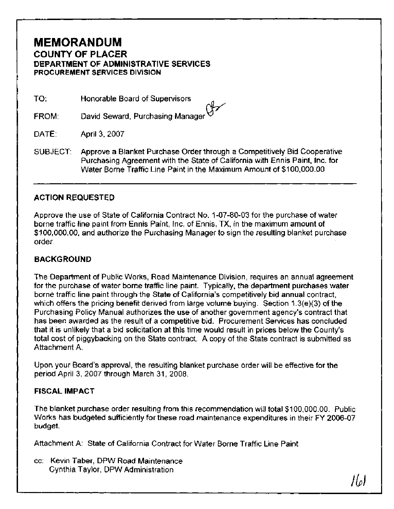# **MEMORANDUM COUNTY OF PLACER DEPARTMENT OF ADMINISTRATIVE SERVICES PROCUREMENT SERVICES DIVISION**

TO: Honorable Board of Supervisors

FROM: David Seward, Purchasing Manager

DATE: April 3, 2007

SUBJECT: Approve a Blanket Purchase Order through a Competitively Bid Cooperative Purchasing Agreement with the State of California with Ennis Paint, Inc. for Water Borne Traffic Line Paint in the Maximum Amount of \$1 00,000.00

## **ACTION REQUESTED**

Approve the use of State of California Contract No. 1-07-80-03 for the purchase of water borne traffic line paint from Ennis Paint, Inc. of Ennis, TX, in the maximum amount of \$1 00,000.00, and authorize the Purchasing Manager to sign the resulting blanket purchase order.

# **BACKGROUND**

The Department of Public Works, Road Maintenance Division, requires an annual agreement for the purchase of water borne traffic line paint. Typically, the department purchases water borne traffic line paint through the State of California's competitively bid annual contract, which offers the pricing benefit derived from large volume buying. Section 1.3(e)(3) of the Purchasing Policy Manual authorizes the use of another government agency's contract that has been awarded as the result of a competitive bid. Procurement Services has concluded that it is unlikely that a bid solicitation at this time would result in prices below the County's total cost of piggybacking on the State contract. A copy of the State contract is submitted as Attachment A.

Upon your Board's approval, the resulting blanket purchase order will be effective for the period April 3, 2007 through March 31, 2008.

## **FISCAL IMPACT**

The blanket purchase order resulting from this recommendation will total \$100,000.00. Public Works has budgeted sufficiently for these road maintenance expenditures in their FY 2006-07 budget.

Attachment A: State of California Contract for Water Borne Traffic Line Paint

cc: Kevin Taber, DPW Road Maintenance Cynthia Taylor, DPW Administration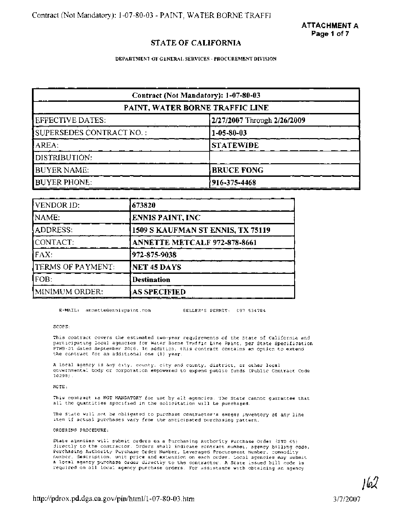## **STATE OF CALIFORNIA**

**DEPARTMENT OF GENERAL SERVICES** - **PROCUREMENT DIVISION** 

| Contract (Not Mandatory): 1-07-80-03 |                             |  |  |  |  |
|--------------------------------------|-----------------------------|--|--|--|--|
| PAINT, WATER BORNE TRAFFIC LINE      |                             |  |  |  |  |
| EFFECTIVE DATES:                     | 2/27/2007 Through 2/26/2009 |  |  |  |  |
| SUPERSEDES CONTRACT NO. :            | $1-05-80-03$                |  |  |  |  |
| AREA:                                | <b>STATEWIDE</b>            |  |  |  |  |
| DISTRIBUTION:                        |                             |  |  |  |  |
| <b>BUYER NAME:</b>                   | <b>BRUCE FONG</b>           |  |  |  |  |
| <b>BUYER PHONE:</b>                  | 916-375-4468                |  |  |  |  |

| VENDOR ID:               | 673820                            |
|--------------------------|-----------------------------------|
| NAME:                    | <b>ENNIS PAINT, INC</b>           |
| ADDRESS:                 | 1509 S KAUFMAN ST ENNIS, TX 75119 |
| CONTACT:                 | ANNETTE METCALF 972-878-8661      |
| FAX:                     | 972-875-9038                      |
| <b>TERMS OF PAYMENT:</b> | NET 45 DAYS                       |
| FOB:                     | <b>Destination</b>                |
| MINIMUM ORDER:           | <b>AS SPECIFIED</b>               |

E-MAIL: annette@ennispaint.com SELLER'S PERMIT: 097-534784

SCOPE :

This contract covers the estimated two-year requirements of the State of California and participating local agencies for Water Borne Traffic Line Paint, per State Specification PTWB-01 dated September 2006. In addition, this contract contains an option to extend the contract for an additional one **(1)** year.

A local agency is any city, county, city and county, district, or other local governmental body or corporation empowered to expend public funds (Public Contract Code 10298).

NOTE :

This contract is NOT MANDATORY for use by all agencies. The State cannot guarantee that all the quantities specified in the solicitation will be purchased.

The State will not be obligated to purchase contractor's excess inventory of any line item if actual purchases vary from the anticipated purchasing pattern.

ORDERING PROCEDURE:

State agencies will submit orders on a Purchasing Authority Purchase Order (STD 65) directly to the contractor. Orders shall indicate contract number, agency billing code, Purchasing Authority Purchase Order Number, Leveraged Procurement Number, commodity number, description, unit price and extension on each order. Local agencies may submit a local agency purchase order directly to the contractor. A State issued bill code is required on all local agency purchase orders. For assistance with obtaining an agency

lo.I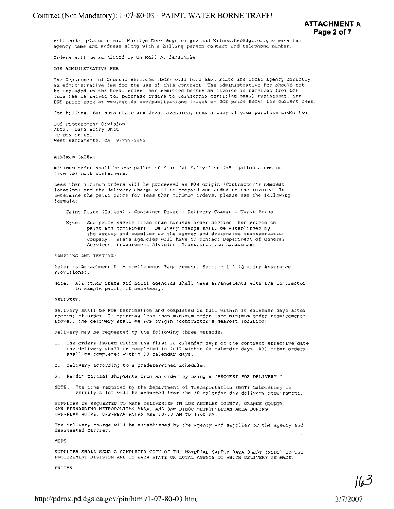**ATTACHMENT A Page 2 of 7** 

bill code, please e-mail Marilyn.Ebert4dgs.ca.gov and Wllson.Lee@dgs.ca.gov with the agency name and address along with a billlng person contact and telephone number.

Orders will be submitted by US Mail or facsimile

DGS ADMINISTRATIVE FEE:

The Department of General Services (DGS) will bill each State and local agency directly an administrative fee for the use of this contract. The administrative fee should not be included in the total order, nor remitted before an invoice is received from DGS. This fee **IS** waived for purchase orders to California certified small businesses. See DGS price book at **www.dgs.ca.gov/publications** (cllck on DGS price book) for current fees

For bllling, for both state and local agencies, send a copy of your purchase order to:

DGS-Procurement Division Attn: Data Entry Unit PO Box 989052 West Sacramento, CA 95798-9052

MINIMUM ORDER:

Minimum order shall be one pallet of four **(4)** fifty-five (55) gallon drums or five (5) bulk containers.

Less than minimum orders will be processed as FOB origin (Contractor's nearest location) and the delivery charge will be prepaid and added to the invoice. To determine the paint price for less than minimum orders, please use the following f ormula :

Paint Frice (Gallon) + Container Price + Delivery Charge = Total Price

Note: See price sheets (less than minimum order section) for prices on paint and containers. Delivery charge shall be established by the agency and supplier or the agency and designated transportation company. State agencies will have to contact Department of General Services, Procurement Division, Transportation Management.

SAMPLING AND TESTING:

Refer to Attachment A, Miscellaneous Requirement, Section 1.0 (Quality Assurance Provisions) .

Note: All other State and Local agencies shall make arrangements with the contractor to sample paint, if necessary.

DELIVERY :

Delivery shall be FOB Destination and completed in full within 30 calendar days after receipt of order. If ordering less than minimum order (see minimum order requirements above), the delivery shall be FOB origin (contractor's nearest location).

Delivery may be requested by the following three methods:

- **1.** The orders issued within the first 30 calendar days of the contract effective date, the delivery shall be completed in full within 60 calendar days. All other orders shall be completed within 30 calendar days.
- **2.** Delivery according to a predetermined schedule
- 3. Random partial shipments from an order by using a "REQUEST FOR DELIVERY."
- NOTE: The time required by the Department of Transportation (DOT) Laboratory to certify a lot will be deducted from the **30** calendar day delivery requirement

SUPPLIER IS REQUESTED TO MAKE DELIVERIES IN LOS ANGELES COUNTY, ORANGE COUNTY, SAN BERNARDINO METROPOLITAN AREA, AND SAN DIEGO METROPOLITAN AREA DURING OFF-PEAK HOURS. OFF-PEAK HOURS ARE 10:OO **AM** TO 4:00 PM.

The delivery charge will be established by the agency and supplier or the agency and designated carrier.

MSDS :

SUPPLIER SHALL SEND A COMPLETED COPY OF THE MATERIAL SAFETY DATA SHEET (MSDS) TO THE PROCUREMENT DIVISION AND TO EACH STATE OR LOCAL AGENCY TO WHICH DELIVERY IS MADE.

PRICES :

3/7/2007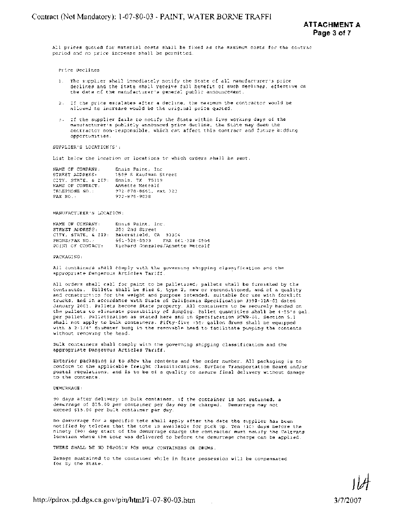All prices quoted for material costs shall be fixed as the maximum costs for the contrac period and no price increase shall be permitted.

Price Declines

- 1. The supplier shall immediately notify the State of all manufacturer's price declines and the State shall receive full benefit of such declines, effective on the date of the manufacturer's general public announcement.
- 2. If the price escalates after a decline, the maximum the contractor would be allowed to increase would be the original price quoted.
- 3. If the supplier fails to notify the State within five working days of the manufacturer's publicly announced price decline, the State may deem the contractor non-responsible, which can affect this contract and future bidding opportunities.

SUPPLIER'S LOCATION (S' :

List below the location or locations to which orders shall be sent.

| NAME OF COMPANY:    | Ennis Paint, Inc.            |
|---------------------|------------------------------|
| STREET ADDRESS:     | 1509 S Kaufman Street        |
| CITY, STATE, & 2IP: | Ennis, TX 75119              |
| NAME OF CONTACT:    | Annette Metcalf              |
| TRLEPHONE NO.:      | $972.878 - 8661$ , ext $321$ |
| FAX NO. :           | 972-875-9038                 |

#### MANUFACTURER'S LOCATION:

| NAME OF COMPANY:    | Ennis Paint, Inc.                |
|---------------------|----------------------------------|
| STREET ADDRESS:     | 205 2nd Street                   |
| CITY, STATE, & ZIP: | Bakersfield, CA 93304            |
| PHONE/FAX NO. .     | 661-328-0503 FAX 661-328-0564    |
| POINT OF CONTACT:   | Richard Gonzales/Annette Metcalf |

#### PACKAGING :

All containers shall comply with the governing shipping classification and the appropriate Dangerous Articles Tariff.

All orders shall call for paint to be palletized; pallets shall be furnished by the contractor. Pallets shall be size 6, type 2, new or reconditioned, and of a quality and construction for the weight and purpose intended, suitable for use with forklift trucks, and in accordance with State of California Specification 3990-01A-01 dated January 2001. Pallets become State property. All containers to be securely banded on the pallets to eliminate possibility of dumping. Pallet quantities shall be 4-55's gal. per pallet. Palletization as stated here and in Specification PTWB-01, Section 5.1 shall not apply to bulk containers. Fifty-five **(55)** gallon drums shall be equipped with a 2-1/4" diameter bung in the removable head to facilitate pumping the contents without removing the head.

Bulk containers shall comply with the governing shipping classification and the appropriate Dangerous Articles Tariff.

Exterior packaging is to show the contents and the order number. All packaging is to conform to the applicable freight classifications, Surface Transportation Board and/or postal regulations, and is to be of a quality to assure final delivery without damage to the contents.

### DEMURRAGE:

90 days after delivery in bulk container, if the container is not returned, a demurrage of \$15.00 per container per day may be charged. Demurrage may not exceed \$15.00 per bulk container per day.

No demurrage for a specific tote shall apply after the date the supplier has been notified by telefax that the tote is available for pick up. Ten (10) days before the ninety (90) day start of the demurrage charge the contractor must notify the Caltrans location where the tote was delivered to before the demurrage charge can be applied.

THERE SHALL BE NO DEPOSIT FOR BULK CONTAINERS OR DRUMS.

Damage sustained to the container whlle in State possession will be compensated for by the State.

3/7/2007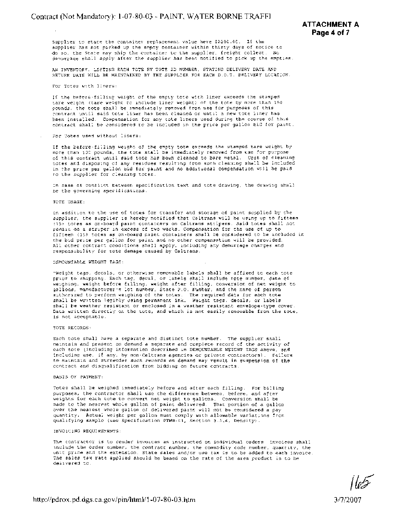Supplier to state the container replacement value here \$2000.00. If the supplier has not plcked up the empty container within thirty days of notice to do so, the State may ship the container to the supplier, freight collect. No demurrage shall apply after the supplier has been notified to pick up the empties.

AN INVENTORY, LISTING EACH TOTE BY TOTE ID NUMBER, STATING DELIVERY DATE AND RETURN DATE WILL BE MAINTAINED BY THE SUPPLIER FOR EACH D.O.T. DELIVERY LOCATION.

For Totes with liners:

If the before-filling weight of the empty tote with liner exceeds the stamped tare welght (tare weight to include liner weight) of the tote by more than 150 pounds, the tote shall be immediately removed from use for purposes of this contract until said tote liner has been cleaned or until a new tote liner has been installed. Compensation for any tote liners used during the course of this contract shall be considered to be included in the price per gallon bid for paint.

For Totes used without liners:

If the before-filling weight of the empty tote exceeds the stamped tare weight by more than 100 pounds, the tote shall be immediately removed from use for purpose of this contract until said tote has been cleaned to bare metal. Cost of cleaning totes and disposing of any residues resulting from such cleaning shall be included in the price per gallon bid for paint and no additional compensation wlll be paid to the supplier for cleaning totes.

In case of conflict between specification text and tote drawing, the drawing shall be the governing specifications.

### TOTE USAGE:

In addition to the use of totes for transfer and storage of paint supplied by the supplier, the supplier is hereby notified that Caltrans will be using up to fifteen **(15)** totes as on-board paint containers on Caltrans stripers. Said totes shall not remain on a striper in excess of two weeks. Compensation for the use of up to fifteen **(15)** totes as on-board paint containers shall be considered to be included in the bld price per gallon for paint and no other compensation will be provided. All other contract conditions shall apply, including any demurrage charges and responsibility for tote damage caused by Caltrans.

### DEMOUNTABLE WEIGHT TAGS:

"Weight tags, decals, or otherwise removable labels shall be affixed to each tote prior to shipping. Each tag. decal, or labels shall include tote number, date of weighing, weight before filling, weight after filling, conversion of net weight to gallons, manufacturer's lot number, State P.0. Number, and the name of person authorized to perform weighing of the totes. The required data for each tote shall be written legibly using permanent ink. Weight tags, decals, or labels shall **be** weather resistant or enclosed in a weather resistant envelope-type cover. Data written directly on the tote, and which is not easily removable from the tote, is not acceptable.

### TOTE RECORDS:

Each tote shall have a separate and distinct tote number. The supplier shall maintain and present on demand a separate and complete record of the activity of each tote (including information described in DEMOUNTABLE WEIGHT TAGS above, and including use, if any, by non-Caltrans agencies or private contractors). Failure to maintain and surrender such records on demand may result in suspension of the contract and disqualification from bidding on future contracts.

#### BASIS OF PAYMENT:

Totes shall be weighed immediately before and after each filling. For billing purposes, the contractor shall use the difference between, before, and after weights for each tote to convert net weight to gallons. Conversion shall be made to the nearest whole gallon of paint delivered. That portion of a gallon over the nearest whole gallon of delivered paint will not be considered a pay quantity. Actual weight per gallon must comply with allowable variations from qualifying sample (see Specification PTWB-01, Section 3.3.6, Density).

#### INVOICING REQUIREMENTS:

The contractor is to render invoices as instructed on individual orders. Invoices shall include the order number, the contract number, the commodity code number, quantity, the unit price and the extension. State sales and/or use tax is to be added to each invoice. The sales tax rate applied should be based on the rate of the area product is to be delivered to.

3/7/2007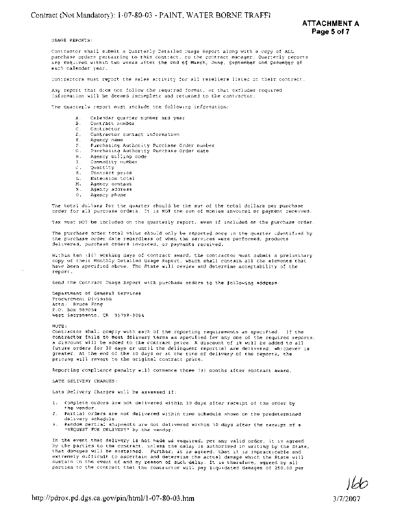USAGE REPORTS:

Contractor shall submit a Quarterly Detailed Usage Report along with a copy of ALL purchase orders pertaining to this contract, to the contract manager. Quarterly reports are required within two weeks after the end of March, June, September and December of each calendar year.

Contractors must report the sales activity for all resellers listed in their contract

Any report that does not follow the requlred format, or that excludes requlred lnformatlon wlll be deemed incomplete and returned to the contractor.

The quarterly report must include the following information:

- Calendar quarter number and year Α.
	- В. Contract number
	- Contractor C.
	- $\mathbb{D}$ . Contractor contact information
	- $E_{\perp}$ Agency name
	- ${\mathcal F}$  . Purchasing Authority Purchase Order number
	- Purchasing Authority Purchase Order date  $G_{\infty}$
	- Agency billing code н.
	- $\mathbf I$  . Commodity number
	- J. Quantity
	- к. Contract price
	- Extension total L.
	- $\mathbf{M}_{\rm{max}}$ Agency contact
	- $\mathbf{N}_{\mathrm{in}}$ Agency address
	- $\Diamond$ . Agency phone

The total dollars for the quarter should be the sum of the total dollars per purchase order for all purchase orders. It is **NOT** the sum of monies Invoiced or payment received.

Tax must NOT be included on the quarterly report, even if included on the purchase order.

The purchase order total value should only be reported once in the quarter identified by the purchase order date regardless of when the services were performed, products delivered, purchase orders invoiced, or payments received.

Within ten (10) working days of contract award, the contractor must submit a preliminary copy of their Monthly Detailed Usage Report, which shall contain all the elements that have been specified above. The State will review and determine acceptability of the report.

Send the Contract Usage Report with purchase orders to the following address:

Department of General Services Procurement Division Attn: Bruce Fong P.O. Box 989054 West Sacramento, CA 95798-9054

NOTE :

Contractor shall comply with each of the reporting requirements as specified. If the contractor fails to meet delivery terms as specified for any one of the required reports, a discount will be added to the contract price. A discount of 1% will be added to all future orders for 30 days or until the delinquent report(s) are delivered, whichever is greater. At the end of the 30 days or at the time of delivery of the reports, the pricing will revert to the original contract price.

Reporting compliance penalty wlll commence three *(3)* months after contract award.

LATE DELIVERY CHARGES:

Late Delivery Charges will be assessed if:

- **1.** Complete orders are not delivered within 30 days after receipt of the order by the vendor.
- 2. Partial orders are not delivered within time schedule shown on the predetermined delivery schedule.
- *3.* Random partial shipments are not delivered within 30 days after the receipt of a "REQUEST FOR DELIVERY" by the vendor.

In the event that delivery is not made as required, per any valid order, it is agreed by the parties to the contract, unless the delay is authorized in writing by the State, that damages will be sustained. Further, it is agreed, that it is impracticable and extremely difficult to ascertain and determine the actual damage which the State will sustain in the event of and by reason of such delay. It is therefore, agreed by all parties to the contract that the contractor will pay liquidated damages of 250.00 per

3/7/2007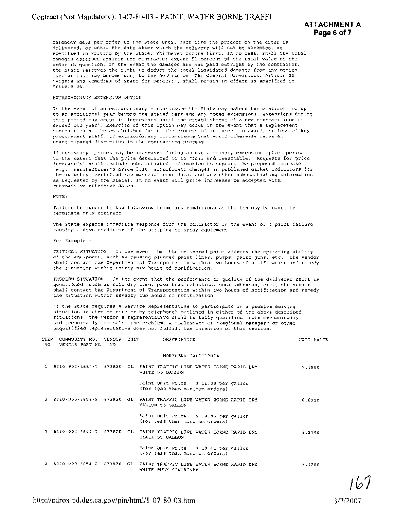calendar days per order to the State until such time the product on the order is delivered, or until the date after which the delivery will not be accepted, as specified in writing by the State, whichever occurs first. In no case, shall the total damages assessed against the contractor exceed 50 percent of the total value of the order in question. In the event the damages are not paid outright by the contractor, the State reserves the right to deduct the total liquidated damages from any monies due, or that may become due, to the contractor. The General Provisions, Article 26, "Rights and Remedies of State for Default", shall remain in effect as specifled in Article 26.

### EXTRAORDINARY EXTENSION OPTION:

In the event of an extraordinary circumstance the State may extend the contract for up to an additional year beyond the stated term and any noted extensions. Extensions during this perlod may occur in increments until the establishment of a new contract (not to exceed one-year). Exercise of this option may occur in the event that a replacement contract cannot be established due to the protest of an intent to award, or loss of key procurement staff, or extraordinary circumstance that would otherwise cause an unanticipated disruption in the contracting process.

If necessary, prices may be increased during an extraordinary extension option period, to the extent that the price determined to be "fair and reasonable." Requests for price increase(s) shall include substantiated information to support the proposed increase (e.g., manufacturer's price llst, significant changes in published market indicators for the industry, certified raw material cost data, and any other substantiating information as requested by the State). In no event will price increases be accepted with retroactive effective dates.

NOTE :

Failure to adhere to the following terms and conditions of the bid may be cause to terminate this contract.

The State expects immediate response from the contractor in the event of a paint failure causing a down condition of the striping or spray equipment.

For Example -

CRITICAL SITUATION: In the event that the delivered paint affects the operating ability of the equipment, such as causing plugged paint lines, pumps, paint guns, etc., the vendor shall contact the Department of Transportation within two hours of notification and remedy the situation within.thirty six hours of notification.

PROBLEM SITUATION: In the event that the performance or quality of the delivered paint is questioned, such as slow dry time, poor bead retention, poor adhesion, etc., the vendor shall contact the Department of Transportation wlthin two hours of notification and remedy the situation within seventy two hours of notification.

If the State requires a Service Representative to participate in a problem solving situation (either on site or by telephone) outlined in either of the above described situations, the vendor's representative shall be fully qualified, both mechanically and technically, to solve the problem. A "Salesman" or "Regional Manager" or other unqualified representative does not fulfill the intention of this section.

| ITEM COMMODITY NO. VENDOR UNIT<br>NO. VENDOR PART NO. NO. |  | DESCRIPTION                                                                                  | UNIT PRICE |
|-----------------------------------------------------------|--|----------------------------------------------------------------------------------------------|------------|
|                                                           |  | NORTHERN CALIFORNIA                                                                          |            |
|                                                           |  | 1 8010-900-3652-7 673820 GL PAINT TRAFFIC LINE WATER BORNE RAPID DRY<br>WHITE 55 GALLON      | 9,1900     |
|                                                           |  | Paint Unit Price: \$ 11.38 per gallon<br>(For less than minimum orders)                      |            |
|                                                           |  | 2 8010-900-3653-9 673820 GL PAINT TRAFFIC LINE WATER BORNE RAPID DRY<br>YELLOW 55 GALLON     | 8.6905     |
|                                                           |  | Paint Unit Price: \$ 10.89 per gallon<br>(For less than minimum orders)                      |            |
|                                                           |  | 3 8010-900-3649-7 673820 GL PAINT TRAFFIC LINE WATER BORNE RAPID DRY<br>BLACK 55 GALLON      | 8.2100     |
|                                                           |  | Paint Unit Price: \$ 10.41 per gallon<br>(For less than minimum orders)                      |            |
|                                                           |  | 4 8010-920-3654-0 673820 GL PAINT TRAFFIC LINE WATER BORNE RAPID DRY<br>WHITE BULK CONTAINER | 8,9200     |

167

3/7/2007